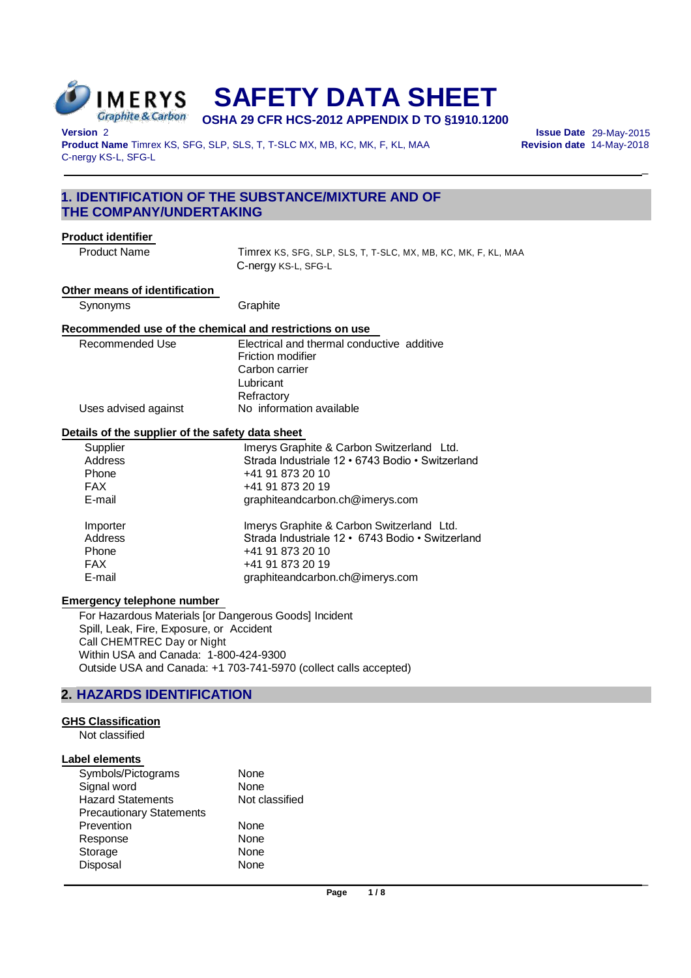

# **SAFETY DATA SHEET OSHA 29 CFR HCS-2012 APPENDIX D TO §1910.1200**

**Version** 2 **Issue Date** 29-May-2015 Product Name Timrex KS, SFG, SLP, SLS, T, T-SLC MX, MB, KC, MK, F, KL, MAA C-nergy KS-L, SFG-L

 $\overline{a}$ 

 $\overline{a}$ 

# **1. IDENTIFICATION OF THE SUBSTANCE/MIXTURE AND OF THE COMPANY/UNDERTAKING**

## **Product identifier**

Product Name Timrex KS, SFG, SLP, SLS, T, T-SLC, MX, MB, KC, MK, F, KL, MAA C-nergy KS-L, SFG-L

#### **Other means of identification**

Synonyms Graphite

## **Recommended use of the chemical and restrictions on use**

| Electrical and thermal conductive additive |  |
|--------------------------------------------|--|
| Friction modifier                          |  |
| Carbon carrier                             |  |
| Lubricant                                  |  |
| Refractory                                 |  |
| No information available                   |  |
|                                            |  |

## **Details of the supplier of the safety data sheet**

| Supplier   | Imerys Graphite & Carbon Switzerland Ltd.        |
|------------|--------------------------------------------------|
| Address    | Strada Industriale 12 · 6743 Bodio · Switzerland |
| Phone      | +41 91 873 20 10                                 |
| <b>FAX</b> | +41 91 873 20 19                                 |
| E-mail     | graphiteandcarbon.ch@imerys.com                  |
| Importer   | Imerys Graphite & Carbon Switzerland Ltd.        |
| Address    | Strada Industriale 12 · 6743 Bodio · Switzerland |
| Phone      | +41 91 873 20 10                                 |
| <b>FAX</b> | +41 91 873 20 19                                 |
| E-mail     | graphiteandcarbon.ch@imerys.com                  |

# **Emergency telephone number**

For Hazardous Materials [or Dangerous Goods] Incident Spill, Leak, Fire, Exposure, or Accident Call CHEMTREC Day or Night Within USA and Canada: 1-800-424-9300 Outside USA and Canada: +1 703-741-5970 (collect calls accepted)

# **2. HAZARDS IDENTIFICATION**

# **GHS Classification**

Not classified

#### **Label elements**

| Symbols/Pictograms              | None           |
|---------------------------------|----------------|
| Signal word                     | None           |
| <b>Hazard Statements</b>        | Not classified |
| <b>Precautionary Statements</b> |                |
| Prevention                      | None           |
| Response                        | <b>None</b>    |
| Storage                         | None           |
| Disposal                        | <b>None</b>    |
|                                 |                |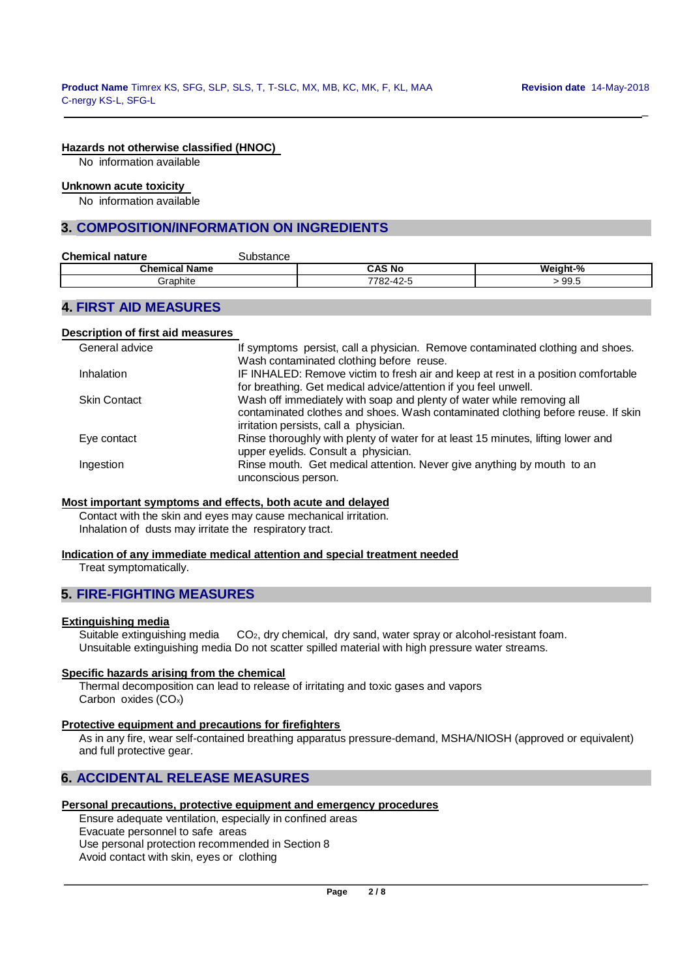\_

# **Hazards not otherwise classified (HNOC)**

No information available

#### **Unknown acute toxicity**

No information available

# **3. COMPOSITION/INFORMATION ON INGREDIENTS**

| <b>Chemical nature</b> | substance |           |          |
|------------------------|-----------|-----------|----------|
| <b>Chemical Name</b>   |           | CAS No    | Weight-% |
| Graphite               |           | 7782-42-5 | 99.5     |

# **4. FIRST AID MEASURES**

## **Description of first aid measures**

| General advice      | If symptoms persist, call a physician. Remove contaminated clothing and shoes.    |
|---------------------|-----------------------------------------------------------------------------------|
|                     | Wash contaminated clothing before reuse.                                          |
| <b>Inhalation</b>   | IF INHALED: Remove victim to fresh air and keep at rest in a position comfortable |
|                     | for breathing. Get medical advice/attention if you feel unwell.                   |
| <b>Skin Contact</b> | Wash off immediately with soap and plenty of water while removing all             |
|                     | contaminated clothes and shoes. Wash contaminated clothing before reuse. If skin  |
|                     | irritation persists, call a physician.                                            |
| Eye contact         | Rinse thoroughly with plenty of water for at least 15 minutes, lifting lower and  |
|                     | upper eyelids. Consult a physician.                                               |
| Ingestion           | Rinse mouth. Get medical attention. Never give anything by mouth to an            |
|                     | unconscious person.                                                               |

## **Most important symptoms and effects, both acute and delayed**

Contact with the skin and eyes may cause mechanical irritation. Inhalation of dusts may irritate the respiratory tract.

## **Indication of any immediate medical attention and special treatment needed**

Treat symptomatically.

# **5. FIRE-FIGHTING MEASURES**

#### **Extinguishing media**

Suitable extinguishing media CO2, dry chemical, dry sand, water spray or alcohol-resistant foam. Unsuitable extinguishing media Do not scatter spilled material with high pressure water streams.

#### **Specific hazards arising from the chemical**

Thermal decomposition can lead to release of irritating and toxic gases and vapors Carbon oxides (COx)

#### **Protective equipment and precautions for firefighters**

As in any fire, wear self-contained breathing apparatus pressure-demand, MSHA/NIOSH (approved or equivalent) and full protective gear.

# **6. ACCIDENTAL RELEASE MEASURES**

# **Personal precautions, protective equipment and emergency procedures**

Ensure adequate ventilation, especially in confined areas Evacuate personnel to safe areas Use personal protection recommended in Section 8 Avoid contact with skin, eyes or clothing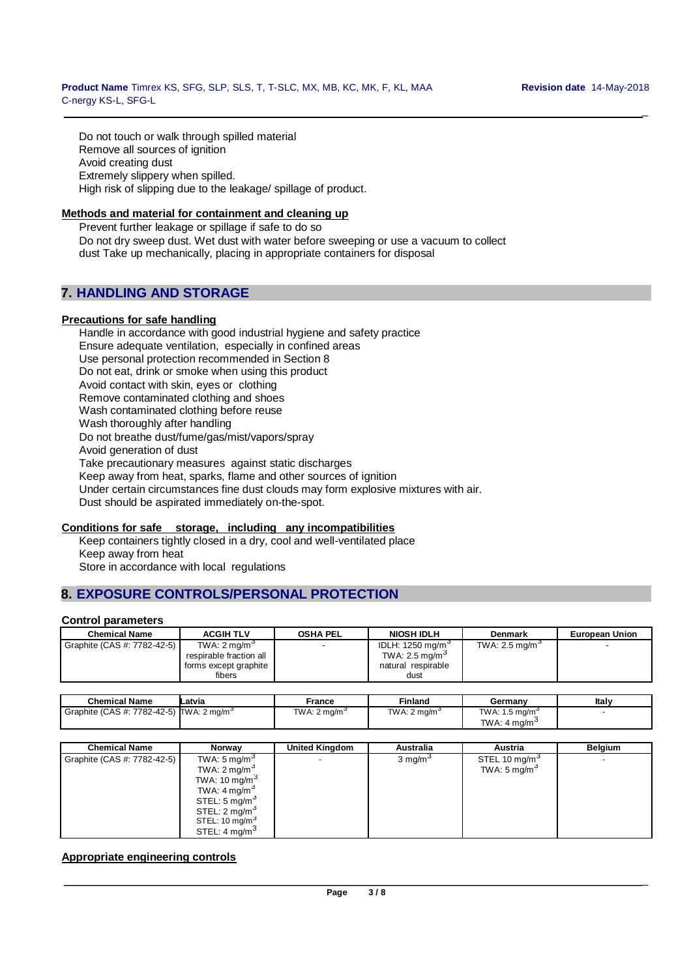\_

Do not touch or walk through spilled material Remove all sources of ignition Avoid creating dust Extremely slippery when spilled. High risk of slipping due to the leakage/ spillage of product.

## **Methods and material for containment and cleaning up**

Prevent further leakage or spillage if safe to do so Do not dry sweep dust. Wet dust with water before sweeping or use a vacuum to collect dust Take up mechanically, placing in appropriate containers for disposal

# **7. HANDLING AND STORAGE**

## **Precautions for safe handling**

Handle in accordance with good industrial hygiene and safety practice Ensure adequate ventilation, especially in confined areas Use personal protection recommended in Section 8 Do not eat, drink or smoke when using this product Avoid contact with skin, eyes or clothing Remove contaminated clothing and shoes Wash contaminated clothing before reuse Wash thoroughly after handling Do not breathe dust/fume/gas/mist/vapors/spray Avoid generation of dust Take precautionary measures against static discharges Keep away from heat, sparks, flame and other sources of ignition Under certain circumstances fine dust clouds may form explosive mixtures with air. Dust should be aspirated immediately on-the-spot.

# **Conditions for safe storage, including any incompatibilities**

Keep containers tightly closed in a dry, cool and well-ventilated place Keep away from heat Store in accordance with local regulations

# **8. EXPOSURE CONTROLS/PERSONAL PROTECTION**

## **Control parameters**

| <b>Chemical Name</b>        | <b>ACGIH TLV</b>                                                                      | <b>OSHA PEL</b> | <b>NIOSH IDLH</b>                                                                        | <b>Denmark</b>             | <b>European Union</b> |
|-----------------------------|---------------------------------------------------------------------------------------|-----------------|------------------------------------------------------------------------------------------|----------------------------|-----------------------|
| Graphite (CAS #: 7782-42-5) | TWA: $2 \text{ mg/m}^3$<br>respirable fraction all<br>forms except graphite<br>fibers |                 | IDLH: 1250 mg/m <sup>3</sup><br>TWA: 2.5 mg/m <sup>3</sup><br>natural respirable<br>dust | TWA: 2.5 mg/m <sup>3</sup> |                       |

| <b>Chemical Name</b>                               | Latvia | France                  | Finland                 | Germanv                                              | Italy |
|----------------------------------------------------|--------|-------------------------|-------------------------|------------------------------------------------------|-------|
| Graphite (CAS #: 7782-42-5) $\text{TWA: 2 mg/m}^3$ |        | TWA: $2 \text{ mg/m}^3$ | TWA: $2 \text{ mg/m}^3$ | TWA: $1.5 \text{ mg/m}^3$<br>TWA: $4 \text{ mg/m}^3$ |       |

| <b>Chemical Name</b>        | Norway                     | <b>United Kingdom</b> | Australia           | Austria                   | <b>Belaium</b> |
|-----------------------------|----------------------------|-----------------------|---------------------|---------------------------|----------------|
| Graphite (CAS #: 7782-42-5) | TWA: 5 mg/m <sup>3</sup>   |                       | 3 mg/m <sup>3</sup> | STEL 10 mg/m <sup>3</sup> |                |
|                             | TWA: $2 \text{ mg/m}^3$    |                       |                     | TWA: 5 mg/m <sup>3</sup>  |                |
|                             | TWA: 10 mg/m <sup>3</sup>  |                       |                     |                           |                |
|                             | TWA: $4 \text{ mg/m}^3$    |                       |                     |                           |                |
|                             | STEL: 5 mg/m <sup>3</sup>  |                       |                     |                           |                |
|                             | STEL: 2 mg/m <sup>3</sup>  |                       |                     |                           |                |
|                             | STEL: 10 mg/m <sup>3</sup> |                       |                     |                           |                |
|                             | STEL: $4 \text{ mg/m}^3$   |                       |                     |                           |                |

## **Appropriate engineering controls**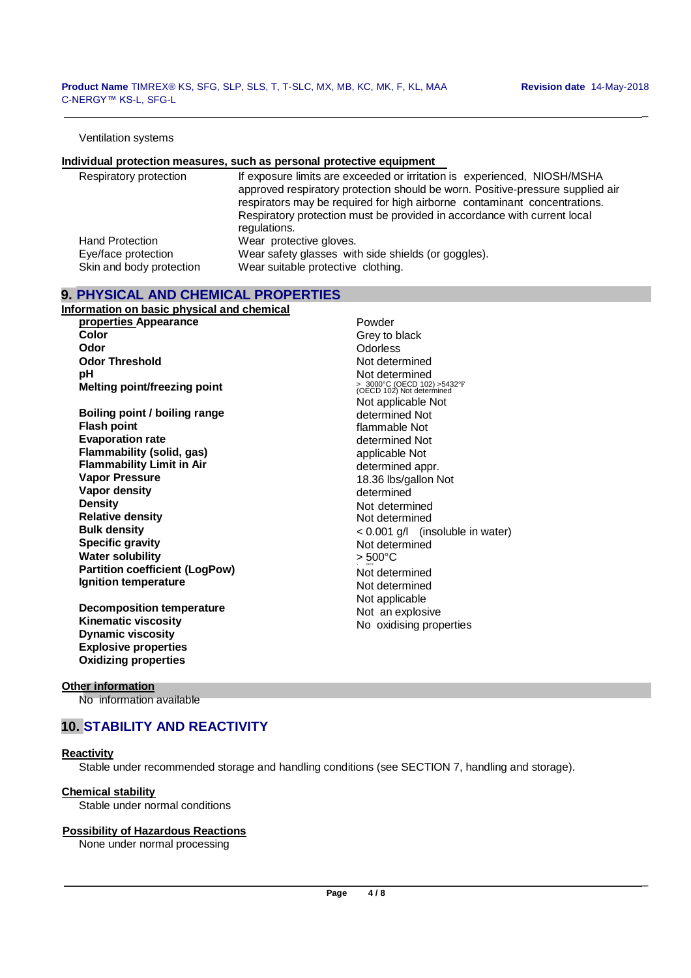\_

#### Ventilation systems

#### **Individual protection measures, such as personal protective equipment**

| Respiratory protection   | If exposure limits are exceeded or irritation is experienced, NIOSH/MSHA<br>approved respiratory protection should be worn. Positive-pressure supplied air<br>respirators may be required for high airborne contaminant concentrations.<br>Respiratory protection must be provided in accordance with current local |
|--------------------------|---------------------------------------------------------------------------------------------------------------------------------------------------------------------------------------------------------------------------------------------------------------------------------------------------------------------|
|                          | regulations.                                                                                                                                                                                                                                                                                                        |
| <b>Hand Protection</b>   | Wear protective gloves.                                                                                                                                                                                                                                                                                             |
| Eye/face protection      | Wear safety glasses with side shields (or goggles).                                                                                                                                                                                                                                                                 |
| Skin and body protection | Wear suitable protective clothing.                                                                                                                                                                                                                                                                                  |

## **9. PHYSICAL AND CHEMICAL PROPERTIES**

| Information on basic physical and chemical |
|--------------------------------------------|
| properties Appearance                      |
| Color                                      |
| Odor                                       |
| <b>Odor Threshold</b>                      |
| рH                                         |
| <b>Melting point/freezing point</b>        |
|                                            |
| Boiling point / boiling range              |
| <b>Flash point</b>                         |
| <b>Evaporation rate</b>                    |
| <b>Flammability (solid, gas)</b>           |
| <b>Flammability Limit in Air</b>           |
| <b>Vapor Pressure</b>                      |
| <b>Vapor density</b>                       |
| Density                                    |
| <b>Relative density</b>                    |
| Bulk density                               |
| <b>Specific gravity</b>                    |

**Water solubility Partition coefficient (LogPow) Ignition temperature**

**Decomposition temperature Kinematic viscosity Dynamic viscosity Explosive properties Oxidizing properties**

Powder Grey to black **Odorless** Not determined Not determined > 3000°C (OECD 102) >5432℉ (OECD 102) Not determined Not applicable Not determined Not flammable Not determined Not applicable Not determined appr. 18.36 lbs/gallon Not determined Not determined Not determined < 0.001 g/l (insoluble in water) Not determined > 500°C .<br>Not determined Not determined Not applicable Not an explosive No oxidising properties

#### **Other information**

No information available

# **10. STABILITY AND REACTIVITY**

#### **Reactivity**

Stable under recommended storage and handling conditions (see SECTION 7, handling and storage).

#### **Chemical stability**

Stable under normal conditions

#### **Possibility of Hazardous Reactions**

None under normal processing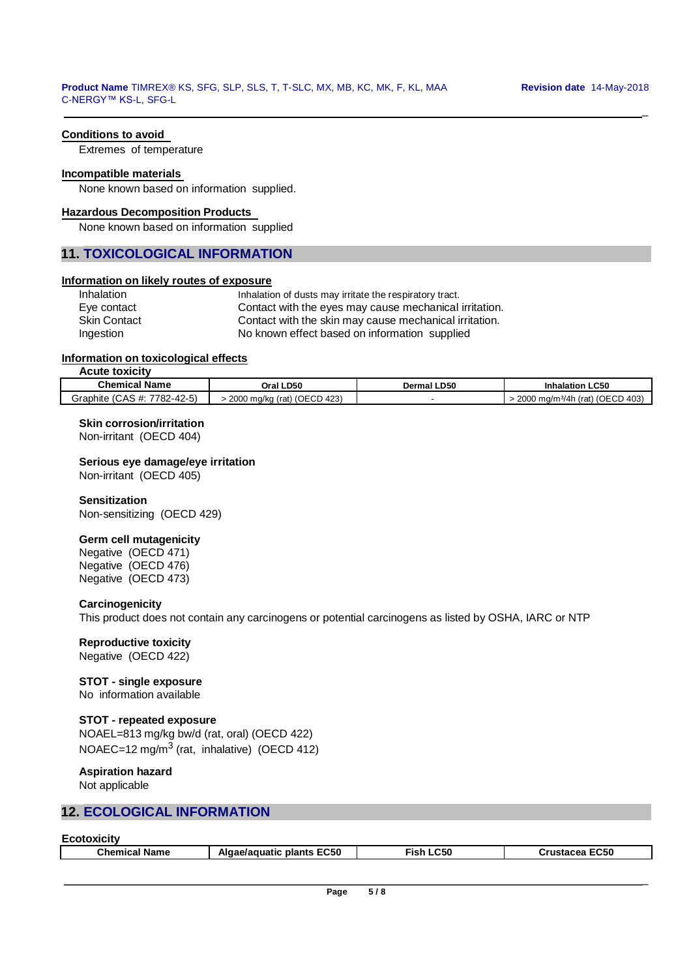$\overline{a}$ 

# **Conditions to avoid**

Extremes of temperature

### **Incompatible materials**

None known based on information supplied.

#### **Hazardous Decomposition Products**

None known based on information supplied

## **11. TOXICOLOGICAL INFORMATION**

## **Information on likely routes of exposure**

| Inhalation          | Inhalation of dusts may irritate the respiratory tract. |  |
|---------------------|---------------------------------------------------------|--|
| Eye contact         | Contact with the eyes may cause mechanical irritation.  |  |
| <b>Skin Contact</b> | Contact with the skin may cause mechanical irritation.  |  |
| Ingestion           | No known effect based on information supplied           |  |

#### **Information on toxicological effects**

**Acute toxicity**

L

| Chemical<br>Name                                                      | Oral LD50                                                |  | <b>Inhalation LC50</b>                 |
|-----------------------------------------------------------------------|----------------------------------------------------------|--|----------------------------------------|
| $\sqrt{2}$<br>7700<br>$\sim$<br>Graphite<br>A.<br>$\ldots$ 1104-42-51 | (423 (<br>2000<br>'OECD<br>(0.01)<br>, ma/ka<br>ww<br>юı |  | (OECD 403)<br>∩∩∩<br>ma/m3/4h<br>(rat) |

#### **Skin corrosion/irritation**

Non-irritant (OECD 404)

#### **Serious eye damage/eye irritation**

Non-irritant (OECD 405)

## **Sensitization**

Non-sensitizing (OECD 429)

# **Germ cell mutagenicity**

Negative (OECD 471) Negative (OECD 476) Negative (OECD 473)

## **Carcinogenicity**

This product does not contain any carcinogens or potential carcinogens as listed by OSHA, IARC or NTP

## **Reproductive toxicity**

Negative (OECD 422)

# **STOT - single exposure**

No information available

# **STOT - repeated exposure**

NOAEL=813 mg/kg bw/d (rat, oral) (OECD 422) NOAEC=12 mg/m<sup>3</sup> (rat, inhalative) (OECD 412)

# **Aspiration hazard**

Not applicable

# **12. ECOLOGICAL INFORMATION**

| <b>Ecotoxicity</b> |  |
|--------------------|--|
|                    |  |

| <b>Chemical Name</b> | Algae/aguatic<br><b>EC50</b><br>plants | Fish LC50 | <b>EC50</b><br>Crustacea |
|----------------------|----------------------------------------|-----------|--------------------------|
|                      |                                        |           |                          |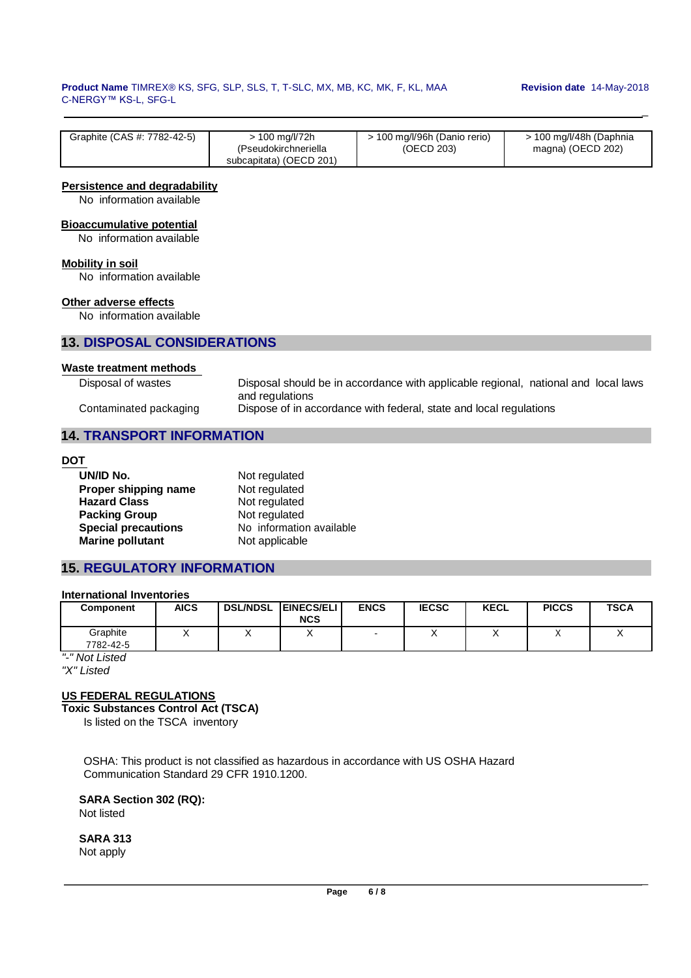#### **Product Name** TIMREX® KS, SFG, SLP, SLS, T, T-SLC, MX, MB, KC, MK, F, KL, MAA **Revision date** 14-May-2018 C-NERGY™ KS-L, SFG-L

 $\overline{a}$ 

 $\overline{a}$ 

| Graphite (CAS #: 7782-42-5) | > 100 mg/l/72h          | > 100 mg/l/96h (Danio rerio) | > 100 mg/l/48h (Daphnia |
|-----------------------------|-------------------------|------------------------------|-------------------------|
|                             | (Pseudokirchneriella    | (OECD 203)                   | magna) (OECD 202)       |
|                             | subcapitata) (OECD 201) |                              |                         |

## **Persistence and degradability**

No information available

# **Bioaccumulative potential**

No information available

# **Mobility in soil**

No information available

## **Other adverse effects**

No information available

# **13. DISPOSAL CONSIDERATIONS**

#### **Waste treatment methods**

Disposal of wastes Disposal should be in accordance with applicable regional, national and local laws and regulations Contaminated packaging Dispose of in accordance with federal, state and local regulations

# **14. TRANSPORT INFORMATION**

## **DOT**

| UN/ID No.                  | Not regulated            |
|----------------------------|--------------------------|
| Proper shipping name       | Not regulated            |
|                            | Not regulated            |
| <b>Packing Group</b>       | Not regulated            |
| <b>Special precautions</b> | No information available |
| <b>Marine pollutant</b>    | Not applicable           |
| <b>Hazard Class</b>        |                          |

# **15. REGULATORY INFORMATION**

# **International Inventories**

| <b>Component</b>      | <b>AICS</b> | <b>DSL/NDSL</b> | <b>EINECS/ELI</b><br><b>NCS</b> | <b>ENCS</b> | <b>IECSC</b> | <b>KECL</b> | <b>PICCS</b> | <b>TSCA</b> |
|-----------------------|-------------|-----------------|---------------------------------|-------------|--------------|-------------|--------------|-------------|
| Graphite<br>7782-42-5 |             |                 |                                 | -           |              |             |              |             |
|                       |             |                 |                                 |             |              |             |              |             |

*"-" Not Listed "X" Listed*

# **US FEDERAL REGULATIONS**

**Toxic Substances Control Act (TSCA)**

Is listed on the TSCA inventory

OSHA: This product is not classified as hazardous in accordance with US OSHA Hazard Communication Standard 29 CFR 1910.1200.

**SARA Section 302 (RQ):** Not listed

**SARA 313** Not apply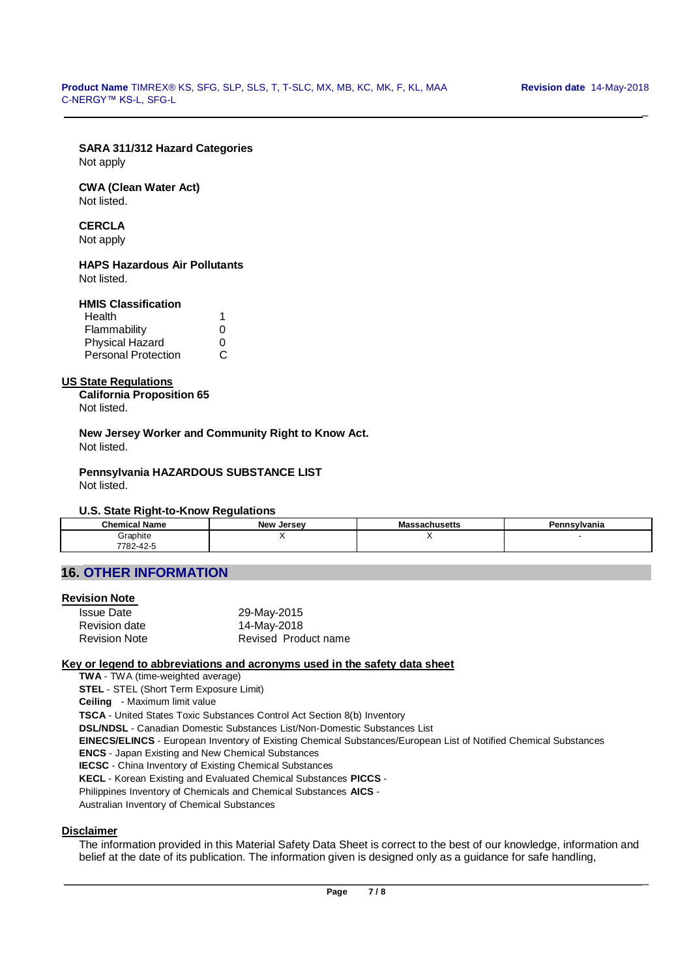\_

# **SARA 311/312 Hazard Categories**

Not apply

#### **CWA (Clean Water Act)** Not listed.

# **CERCLA**

Not apply

## **HAPS Hazardous Air Pollutants** Not listed.

# **HMIS Classification**

| Health                     |              |
|----------------------------|--------------|
| Flammability               | O            |
| <b>Physical Hazard</b>     | $\mathbf{I}$ |
| <b>Personal Protection</b> | C.           |

# **US State Regulations**

**California Proposition 65** Not listed.

**New Jersey Worker and Community Right to Know Act.** Not listed.

#### **Pennsylvania HAZARDOUS SUBSTANCE LIST** Not listed.

# **U.S. State Right-to-Know Regulations**

| $  -$<br><b>Chemical Name</b>                 | <b>New</b><br>, Jersev | - -<br>Massachusetts | Pennsylvania |
|-----------------------------------------------|------------------------|----------------------|--------------|
| .<br>Graphite                                 | . .                    | $\cdot$ .            |              |
| $\Lambda$ $\Omega$<br>7700<br>782-42-3<br>−∠⊤ |                        |                      |              |

# **16. OTHER INFORMATION**

# **Revision Note**

| <b>Issue Date</b>    | 29-May-2015          |
|----------------------|----------------------|
| Revision date        | 14-May-2018          |
| <b>Revision Note</b> | Revised Product name |

# **Key or legend to abbreviations and acronyms used in the safety data sheet**

**TWA** - TWA (time-weighted average)

**STEL** - STEL (Short Term Exposure Limit)

**Ceiling** - Maximum limit value

**TSCA** - United States Toxic Substances Control Act Section 8(b) Inventory

**DSL/NDSL** - Canadian Domestic Substances List/Non-Domestic Substances List

**EINECS/ELINCS** - European Inventory of Existing Chemical Substances/European List of Notified Chemical Substances

**ENCS** - Japan Existing and New Chemical Substances

**IECSC** - China Inventory of Existing Chemical Substances

**KECL** - Korean Existing and Evaluated Chemical Substances **PICCS** -

Philippines Inventory of Chemicals and Chemical Substances **AICS** -

Australian Inventory of Chemical Substances

#### **Disclaimer**

The information provided in this Material Safety Data Sheet is correct to the best of our knowledge, information and belief at the date of its publication. The information given is designed only as a guidance for safe handling,